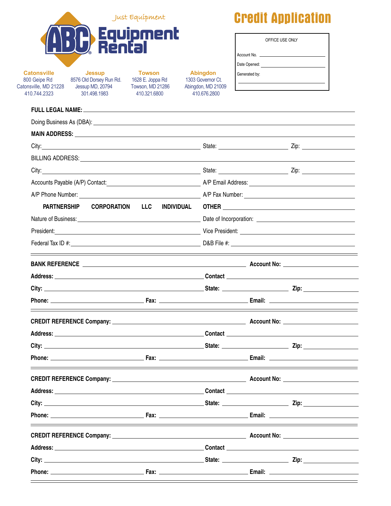|                                                                             |                                                                                                                                                                                                                                | Just Equípment                                                        |                                                                            | <b>Credit Application</b>                                                                          |  |  |
|-----------------------------------------------------------------------------|--------------------------------------------------------------------------------------------------------------------------------------------------------------------------------------------------------------------------------|-----------------------------------------------------------------------|----------------------------------------------------------------------------|----------------------------------------------------------------------------------------------------|--|--|
|                                                                             | Rér                                                                                                                                                                                                                            | Equipment                                                             |                                                                            | OFFICE USE ONLY                                                                                    |  |  |
| <b>Catonsville</b><br>800 Geipe Rd<br>Catonsville, MD 21228<br>410.744.2323 | <b>Jessup</b><br>8576 Old Dorsey Run Rd.<br>Jessup MD, 20794<br>301.498.1983                                                                                                                                                   | <b>Towson</b><br>1628 E. Joppa Rd<br>Towson, MD 21286<br>410.321.6800 | <b>Abingdon</b><br>1303 Governor Ct.<br>Abingdon, MD 21009<br>410.676.2800 | Generated by:<br><u> 1980 - John Stein, Amerikaansk politiker (</u>                                |  |  |
|                                                                             | FULL LEGAL NAME: University of the Second Second Second Second Second Second Second Second Second Second Second Second Second Second Second Second Second Second Second Second Second Second Second Second Second Second Secon |                                                                       |                                                                            |                                                                                                    |  |  |
|                                                                             |                                                                                                                                                                                                                                |                                                                       |                                                                            |                                                                                                    |  |  |
|                                                                             |                                                                                                                                                                                                                                |                                                                       |                                                                            |                                                                                                    |  |  |
|                                                                             |                                                                                                                                                                                                                                |                                                                       |                                                                            |                                                                                                    |  |  |
|                                                                             |                                                                                                                                                                                                                                |                                                                       |                                                                            |                                                                                                    |  |  |
|                                                                             |                                                                                                                                                                                                                                |                                                                       |                                                                            |                                                                                                    |  |  |
|                                                                             |                                                                                                                                                                                                                                |                                                                       |                                                                            |                                                                                                    |  |  |
|                                                                             |                                                                                                                                                                                                                                |                                                                       |                                                                            |                                                                                                    |  |  |
| PARTNERSHIP<br><b>INDIVIDUAL</b><br><b>CORPORATION LLC</b>                  |                                                                                                                                                                                                                                |                                                                       |                                                                            |                                                                                                    |  |  |
|                                                                             |                                                                                                                                                                                                                                |                                                                       |                                                                            |                                                                                                    |  |  |
|                                                                             |                                                                                                                                                                                                                                |                                                                       |                                                                            |                                                                                                    |  |  |
|                                                                             |                                                                                                                                                                                                                                |                                                                       |                                                                            |                                                                                                    |  |  |
|                                                                             |                                                                                                                                                                                                                                |                                                                       |                                                                            | BANK REFERENCE <b>contract and the experimental contract of the County Contract of Account No:</b> |  |  |
|                                                                             |                                                                                                                                                                                                                                |                                                                       |                                                                            |                                                                                                    |  |  |
|                                                                             |                                                                                                                                                                                                                                |                                                                       |                                                                            |                                                                                                    |  |  |
|                                                                             |                                                                                                                                                                                                                                |                                                                       |                                                                            |                                                                                                    |  |  |
|                                                                             |                                                                                                                                                                                                                                |                                                                       |                                                                            |                                                                                                    |  |  |
|                                                                             |                                                                                                                                                                                                                                |                                                                       |                                                                            |                                                                                                    |  |  |
|                                                                             |                                                                                                                                                                                                                                |                                                                       |                                                                            |                                                                                                    |  |  |
|                                                                             |                                                                                                                                                                                                                                |                                                                       |                                                                            |                                                                                                    |  |  |
|                                                                             |                                                                                                                                                                                                                                |                                                                       |                                                                            |                                                                                                    |  |  |
|                                                                             |                                                                                                                                                                                                                                |                                                                       |                                                                            |                                                                                                    |  |  |
|                                                                             |                                                                                                                                                                                                                                |                                                                       |                                                                            |                                                                                                    |  |  |
|                                                                             |                                                                                                                                                                                                                                |                                                                       |                                                                            |                                                                                                    |  |  |
|                                                                             |                                                                                                                                                                                                                                |                                                                       |                                                                            |                                                                                                    |  |  |
|                                                                             |                                                                                                                                                                                                                                |                                                                       |                                                                            |                                                                                                    |  |  |
|                                                                             |                                                                                                                                                                                                                                |                                                                       |                                                                            |                                                                                                    |  |  |
|                                                                             |                                                                                                                                                                                                                                |                                                                       |                                                                            |                                                                                                    |  |  |